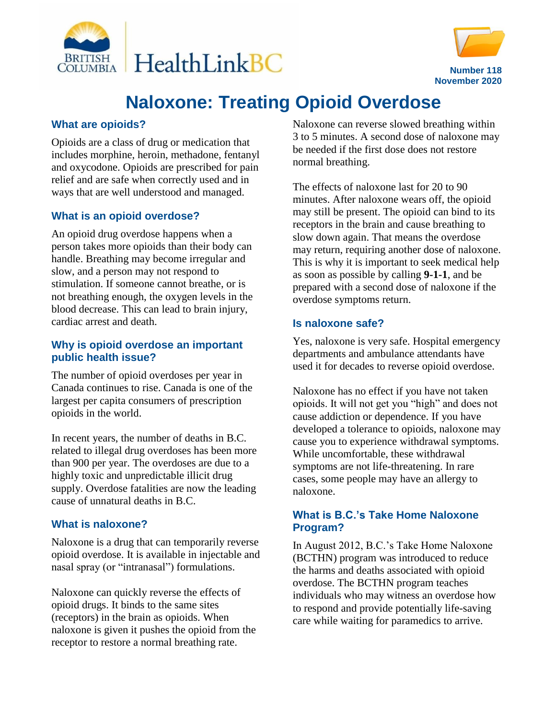



# **Naloxone: Treating Opioid Overdose**

### **What are opioids?**

Opioids are a class of drug or medication that includes morphine, heroin, methadone, fentanyl and oxycodone. Opioids are prescribed for pain relief and are safe when correctly used and in ways that are well understood and managed.

## **What is an opioid overdose?**

An opioid drug overdose happens when a person takes more opioids than their body can handle. Breathing may become irregular and slow, and a person may not respond to stimulation. If someone cannot breathe, or is not breathing enough, the oxygen levels in the blood decrease. This can lead to brain injury, cardiac arrest and death.

#### **Why is opioid overdose an important public health issue?**

The number of opioid overdoses per year in Canada continues to rise. Canada is one of the largest per capita consumers of prescription opioids in the world.

In recent years, the number of deaths in B.C. related to illegal drug overdoses has been more than 900 per year. The overdoses are due to a highly toxic and unpredictable illicit drug supply. Overdose fatalities are now the leading cause of unnatural deaths in B.C.

#### **What is naloxone?**

Naloxone is a drug that can temporarily reverse opioid overdose. It is available in injectable and nasal spray (or "intranasal") formulations.

Naloxone can quickly reverse the effects of opioid drugs. It binds to the same sites (receptors) in the brain as opioids. When naloxone is given it pushes the opioid from the receptor to restore a normal breathing rate.

Naloxone can reverse slowed breathing within 3 to 5 minutes. A second dose of naloxone may be needed if the first dose does not restore normal breathing.

The effects of naloxone last for 20 to 90 minutes. After naloxone wears off, the opioid may still be present. The opioid can bind to its receptors in the brain and cause breathing to slow down again. That means the overdose may return, requiring another dose of naloxone. This is why it is important to seek medical help as soon as possible by calling **9-1-1**, and be prepared with a second dose of naloxone if the overdose symptoms return.

#### **Is naloxone safe?**

Yes, naloxone is very safe. Hospital emergency departments and ambulance attendants have used it for decades to reverse opioid overdose.

Naloxone has no effect if you have not taken opioids. It will not get you "high" and does not cause addiction or dependence. If you have developed a tolerance to opioids, naloxone may cause you to experience withdrawal symptoms. While uncomfortable, these withdrawal symptoms are not life-threatening. In rare cases, some people may have an allergy to naloxone.

#### **What is B.C.'s Take Home Naloxone Program?**

In August 2012, B.C.'s Take Home Naloxone (BCTHN) program was introduced to reduce the harms and deaths associated with opioid overdose. The BCTHN program teaches individuals who may witness an overdose how to respond and provide potentially life-saving care while waiting for paramedics to arrive.